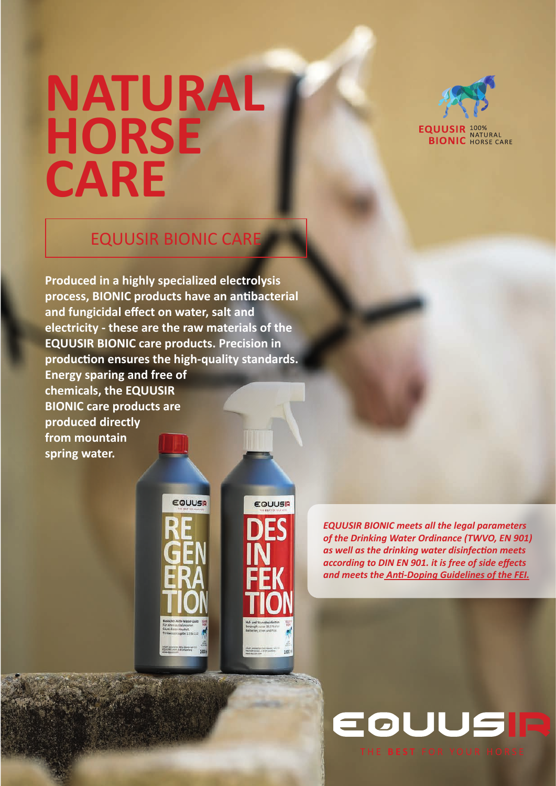# **NATURAL HORSE CARE**



**EQUUSIR 100%**<br>**BIONIC** HORSE CARE

### EQUUSIR BIONIC CARE

**Produced in a highly specialized electrolysis process, BIONIC products have an antibacterial and fungicidal effect on water, salt and electricity - these are the raw materials of the EQUUSIR BIONIC care products. Precision in production ensures the high-quality standards. Energy sparing and free of** 

**chemicals, the EQUUSIR BIONIC care products are produced directly from mountain spring water.**